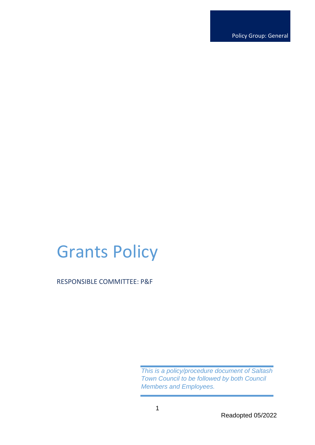Policy Group: General

# Grants Policy

RESPONSIBLE COMMITTEE: P&F

*This is a policy/procedure document of Saltash Town Council to be followed by both Council Members and Employees.*

Readopted 05/2022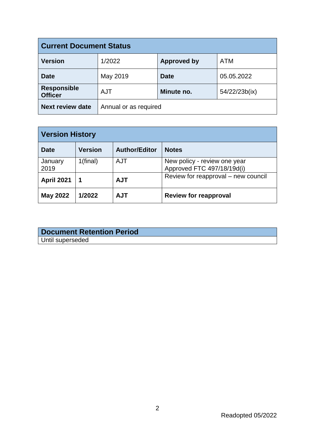| <b>Current Document Status</b>       |                       |                    |               |
|--------------------------------------|-----------------------|--------------------|---------------|
| <b>Version</b>                       | 1/2022                | <b>Approved by</b> | <b>ATM</b>    |
| <b>Date</b>                          | May 2019              | <b>Date</b>        | 05.05.2022    |
| <b>Responsible</b><br><b>Officer</b> | <b>AJT</b>            | Minute no.         | 54/22/23b(ix) |
| <b>Next review date</b>              | Annual or as required |                    |               |

| <b>Version History</b> |                |                      |                                                            |
|------------------------|----------------|----------------------|------------------------------------------------------------|
| <b>Date</b>            | <b>Version</b> | <b>Author/Editor</b> | <b>Notes</b>                                               |
| January<br>2019        | 1(final)       | AJT                  | New policy - review one year<br>Approved FTC 497/18/19d(i) |
| <b>April 2021</b>      |                | <b>AJT</b>           | Review for reapproval – new council                        |
| <b>May 2022</b>        | 1/2022         | <b>AJT</b>           | <b>Review for reapproval</b>                               |

| <b>Document Retention Period</b> |  |
|----------------------------------|--|
| Until superseded                 |  |

Readopted 05/2022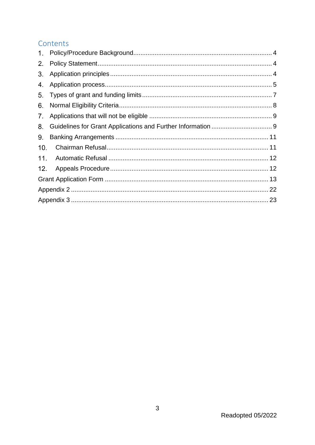# Contents

| 2.             |  |
|----------------|--|
| 3 <sub>1</sub> |  |
| 4.             |  |
| 5 <sub>1</sub> |  |
| 6.             |  |
| 7 <sub>1</sub> |  |
| 8.             |  |
| 9.             |  |
| 10.            |  |
|                |  |
| 12.            |  |
|                |  |
|                |  |
|                |  |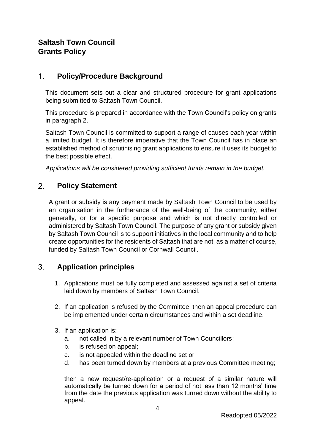# **Saltash Town Council Grants Policy**

#### <span id="page-3-0"></span> $1<sub>1</sub>$ **Policy/Procedure Background**

This document sets out a clear and structured procedure for grant applications being submitted to Saltash Town Council.

This procedure is prepared in accordance with the Town Council's policy on grants in paragraph 2.

Saltash Town Council is committed to support a range of causes each year within a limited budget. It is therefore imperative that the Town Council has in place an established method of scrutinising grant applications to ensure it uses its budget to the best possible effect.

*Applications will be considered providing sufficient funds remain in the budget.*

#### <span id="page-3-1"></span> $2<sup>1</sup>$ **Policy Statement**

A grant or subsidy is any payment made by Saltash Town Council to be used by an organisation in the furtherance of the well-being of the community, either generally, or for a specific purpose and which is not directly controlled or administered by Saltash Town Council. The purpose of any grant or subsidy given by Saltash Town Council is to support initiatives in the local community and to help create opportunities for the residents of Saltash that are not, as a matter of course, funded by Saltash Town Council or Cornwall Council.

#### <span id="page-3-2"></span> $3<sub>l</sub>$ **Application principles**

- 1. Applications must be fully completed and assessed against a set of criteria laid down by members of Saltash Town Council.
- 2. If an application is refused by the Committee, then an appeal procedure can be implemented under certain circumstances and within a set deadline.
- 3. If an application is:
	- a. not called in by a relevant number of Town Councillors;
	- b. is refused on appeal;
	- c. is not appealed within the deadline set or
	- d. has been turned down by members at a previous Committee meeting;

then a new request/re-application or a request of a similar nature will automatically be turned down for a period of not less than 12 months' time from the date the previous application was turned down without the ability to appeal.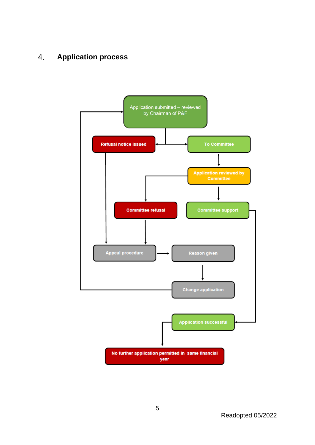#### <span id="page-4-0"></span>**Application process**4.

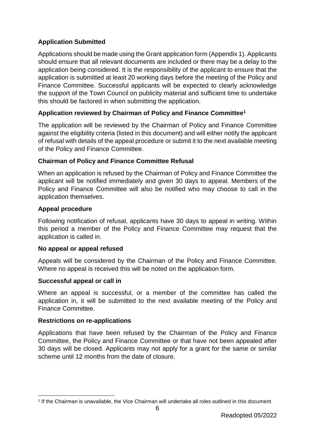### **Application Submitted**

Applications should be made using the Grant application form (Appendix 1). Applicants should ensure that all relevant documents are included or there may be a delay to the application being considered. It is the responsibility of the applicant to ensure that the application is submitted at least 20 working days before the meeting of the Policy and Finance Committee. Successful applicants will be expected to clearly acknowledge the support of the Town Council on publicity material and sufficient time to undertake this should be factored in when submitting the application.

### **Application reviewed by Chairman of Policy and Finance Committee<sup>1</sup>**

The application will be reviewed by the Chairman of Policy and Finance Committee against the eligibility criteria (listed in this document) and will either notify the applicant of refusal with details of the appeal procedure or submit it to the next available meeting of the Policy and Finance Committee.

### **Chairman of Policy and Finance Committee Refusal**

When an application is refused by the Chairman of Policy and Finance Committee the applicant will be notified immediately and given 30 days to appeal. Members of the Policy and Finance Committee will also be notified who may choose to call in the application themselves.

### **Appeal procedure**

Following notification of refusal, applicants have 30 days to appeal in writing. Within this period a member of the Policy and Finance Committee may request that the application is called in.

### **No appeal or appeal refused**

Appeals will be considered by the Chairman of the Policy and Finance Committee. Where no appeal is received this will be noted on the application form.

### **Successful appeal or call in**

Where an appeal is successful, or a member of the committee has called the application in, it will be submitted to the next available meeting of the Policy and Finance Committee.

### **Restrictions on re-applications**

1

Applications that have been refused by the Chairman of the Policy and Finance Committee, the Policy and Finance Committee or that have not been appealed after 30 days will be closed. Applicants may not apply for a grant for the same or similar scheme until 12 months from the date of closure.

<sup>1</sup> If the Chairman is unavailable, the Vice Chairman will undertake all roles outlined in this document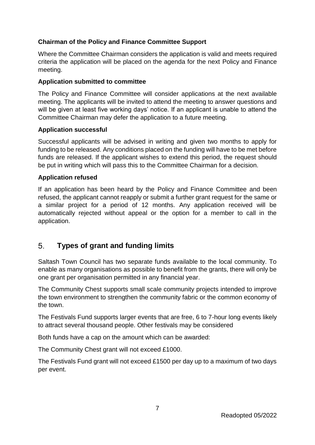### **Chairman of the Policy and Finance Committee Support**

Where the Committee Chairman considers the application is valid and meets required criteria the application will be placed on the agenda for the next Policy and Finance meeting.

#### **Application submitted to committee**

The Policy and Finance Committee will consider applications at the next available meeting. The applicants will be invited to attend the meeting to answer questions and will be given at least five working days' notice. If an applicant is unable to attend the Committee Chairman may defer the application to a future meeting.

#### **Application successful**

Successful applicants will be advised in writing and given two months to apply for funding to be released. Any conditions placed on the funding will have to be met before funds are released. If the applicant wishes to extend this period, the request should be put in writing which will pass this to the Committee Chairman for a decision.

#### **Application refused**

If an application has been heard by the Policy and Finance Committee and been refused, the applicant cannot reapply or submit a further grant request for the same or a similar project for a period of 12 months. Any application received will be automatically rejected without appeal or the option for a member to call in the application.

#### <span id="page-6-0"></span> $5<sub>1</sub>$ **Types of grant and funding limits**

Saltash Town Council has two separate funds available to the local community. To enable as many organisations as possible to benefit from the grants, there will only be one grant per organisation permitted in any financial year.

The Community Chest supports small scale community projects intended to improve the town environment to strengthen the community fabric or the common economy of the town.

The Festivals Fund supports larger events that are free, 6 to 7-hour long events likely to attract several thousand people. Other festivals may be considered

Both funds have a cap on the amount which can be awarded:

The Community Chest grant will not exceed £1000.

The Festivals Fund grant will not exceed £1500 per day up to a maximum of two days per event.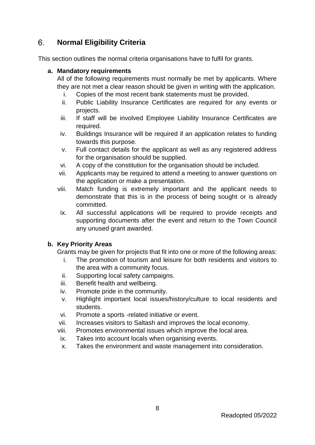#### <span id="page-7-0"></span> $6<sub>1</sub>$ **Normal Eligibility Criteria**

This section outlines the normal criteria organisations have to fulfil for grants.

#### **a. Mandatory requirements**

All of the following requirements must normally be met by applicants. Where they are not met a clear reason should be given in writing with the application.

- i. Copies of the most recent bank statements must be provided.
- ii. Public Liability Insurance Certificates are required for any events or projects.
- iii. If staff will be involved Employee Liability Insurance Certificates are required.
- iv. Buildings Insurance will be required if an application relates to funding towards this purpose.
- v. Full contact details for the applicant as well as any registered address for the organisation should be supplied.
- vi. A copy of the constitution for the organisation should be included.
- vii. Applicants may be required to attend a meeting to answer questions on the application or make a presentation.
- viii. Match funding is extremely important and the applicant needs to demonstrate that this is in the process of being sought or is already committed.
- ix. All successful applications will be required to provide receipts and supporting documents after the event and return to the Town Council any unused grant awarded.

### **b. Key Priority Areas**

Grants may be given for projects that fit into one or more of the following areas:

- i. The promotion of tourism and leisure for both residents and visitors to the area with a community focus.
- ii. Supporting local safety campaigns.
- iii. Benefit health and wellbeing.
- iv. Promote pride in the community.
- v. Highlight important local issues/history/culture to local residents and students.
- vi. Promote a sports -related initiative or event.
- vii. Increases visitors to Saltash and improves the local economy.
- viii. Promotes environmental issues which improve the local area.
- ix. Takes into account locals when organising events.
- x. Takes the environment and waste management into consideration.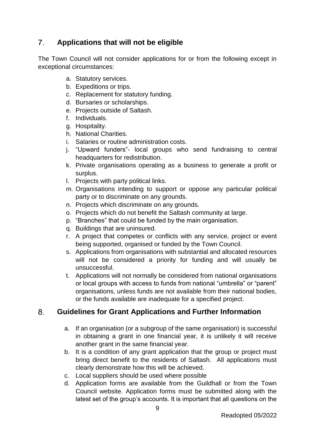#### <span id="page-8-0"></span> $7<sup>1</sup>$ **Applications that will not be eligible**

The Town Council will not consider applications for or from the following except in exceptional circumstances:

- a. Statutory services.
- b. Expeditions or trips.
- c. Replacement for statutory funding.
- d. Bursaries or scholarships.
- e. Projects outside of Saltash.
- f. Individuals.
- g. Hospitality.
- h. National Charities.
- i. Salaries or routine administration costs.
- j. "Upward funders"- local groups who send fundraising to central headquarters for redistribution.
- k. Private organisations operating as a business to generate a profit or surplus.
- l. Projects with party political links.
- m. Organisations intending to support or oppose any particular political party or to discriminate on any grounds.
- n. Projects which discriminate on any grounds.
- o. Projects which do not benefit the Saltash community at large.
- p. "Branches" that could be funded by the main organisation.
- q. Buildings that are uninsured.
- r. A project that competes or conflicts with any service, project or event being supported, organised or funded by the Town Council.
- s. Applications from organisations with substantial and allocated resources will not be considered a priority for funding and will usually be unsuccessful.
- t. Applications will not normally be considered from national organisations or local groups with access to funds from national "umbrella" or "parent" organisations, unless funds are not available from their national bodies, or the funds available are inadequate for a specified project.

#### <span id="page-8-1"></span>8. **Guidelines for Grant Applications and Further Information**

- a. If an organisation (or a subgroup of the same organisation) is successful in obtaining a grant in one financial year, it is unlikely it will receive another grant in the same financial year.
- b. It is a condition of any grant application that the group or project must bring direct benefit to the residents of Saltash. All applications must clearly demonstrate how this will be achieved.
- c. Local suppliers should be used where possible
- d. Application forms are available from the Guildhall or from the Town Council website. Application forms must be submitted along with the latest set of the group's accounts. It is important that all questions on the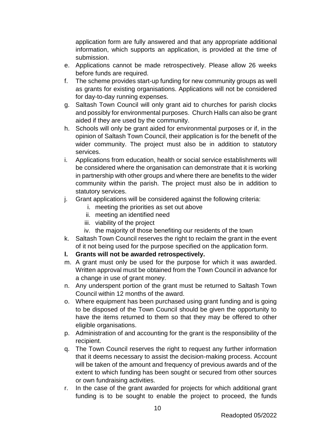application form are fully answered and that any appropriate additional information, which supports an application, is provided at the time of submission.

- e. Applications cannot be made retrospectively. Please allow 26 weeks before funds are required.
- f. The scheme provides start-up funding for new community groups as well as grants for existing organisations. Applications will not be considered for day-to-day running expenses.
- g. Saltash Town Council will only grant aid to churches for parish clocks and possibly for environmental purposes. Church Halls can also be grant aided if they are used by the community.
- h. Schools will only be grant aided for environmental purposes or if, in the opinion of Saltash Town Council, their application is for the benefit of the wider community. The project must also be in addition to statutory services.
- i. Applications from education, health or social service establishments will be considered where the organisation can demonstrate that it is working in partnership with other groups and where there are benefits to the wider community within the parish. The project must also be in addition to statutory services.
- j. Grant applications will be considered against the following criteria:
	- i. meeting the priorities as set out above
	- ii. meeting an identified need
	- iii. viability of the project
	- iv. the majority of those benefiting our residents of the town
- k. Saltash Town Council reserves the right to reclaim the grant in the event of it not being used for the purpose specified on the application form.
- **l. Grants will not be awarded retrospectively.**
- m. A grant must only be used for the purpose for which it was awarded. Written approval must be obtained from the Town Council in advance for a change in use of grant money.
- n. Any underspent portion of the grant must be returned to Saltash Town Council within 12 months of the award.
- o. Where equipment has been purchased using grant funding and is going to be disposed of the Town Council should be given the opportunity to have the items returned to them so that they may be offered to other eligible organisations.
- p. Administration of and accounting for the grant is the responsibility of the recipient.
- q. The Town Council reserves the right to request any further information that it deems necessary to assist the decision-making process. Account will be taken of the amount and frequency of previous awards and of the extent to which funding has been sought or secured from other sources or own fundraising activities.
- r. In the case of the grant awarded for projects for which additional grant funding is to be sought to enable the project to proceed, the funds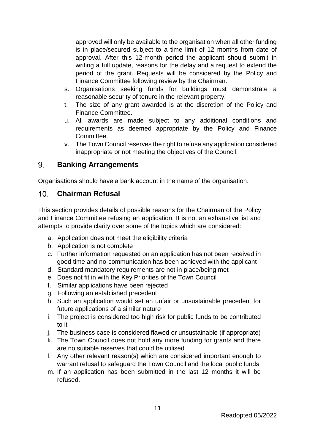approved will only be available to the organisation when all other funding is in place/secured subject to a time limit of 12 months from date of approval. After this 12-month period the applicant should submit in writing a full update, reasons for the delay and a request to extend the period of the grant. Requests will be considered by the Policy and Finance Committee following review by the Chairman.

- s. Organisations seeking funds for buildings must demonstrate a reasonable security of tenure in the relevant property.
- t. The size of any grant awarded is at the discretion of the Policy and Finance Committee.
- u. All awards are made subject to any additional conditions and requirements as deemed appropriate by the Policy and Finance Committee.
- v. The Town Council reserves the right to refuse any application considered inappropriate or not meeting the objectives of the Council.

#### <span id="page-10-0"></span> $9<sub>1</sub>$ **Banking Arrangements**

Organisations should have a bank account in the name of the organisation.

#### <span id="page-10-1"></span> $10<sub>1</sub>$ **Chairman Refusal**

This section provides details of possible reasons for the Chairman of the Policy and Finance Committee refusing an application. It is not an exhaustive list and attempts to provide clarity over some of the topics which are considered:

- a. Application does not meet the eligibility criteria
- b. Application is not complete
- c. Further information requested on an application has not been received in good time and no-communication has been achieved with the applicant
- d. Standard mandatory requirements are not in place/being met
- e. Does not fit in with the Key Priorities of the Town Council
- f. Similar applications have been rejected
- g. Following an established precedent
- h. Such an application would set an unfair or unsustainable precedent for future applications of a similar nature
- i. The project is considered too high risk for public funds to be contributed to it
- j. The business case is considered flawed or unsustainable (if appropriate)
- k. The Town Council does not hold any more funding for grants and there are no suitable reserves that could be utilised
- l. Any other relevant reason(s) which are considered important enough to warrant refusal to safeguard the Town Council and the local public funds.
- m. If an application has been submitted in the last 12 months it will be refused.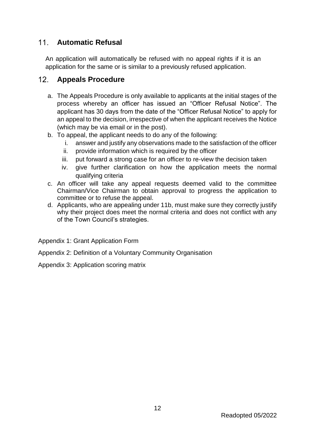# <span id="page-11-0"></span>**Automatic Refusal**

An application will automatically be refused with no appeal rights if it is an application for the same or is similar to a previously refused application.

#### <span id="page-11-1"></span> $12$ **Appeals Procedure**

- a. The Appeals Procedure is only available to applicants at the initial stages of the process whereby an officer has issued an "Officer Refusal Notice". The applicant has 30 days from the date of the "Officer Refusal Notice" to apply for an appeal to the decision, irrespective of when the applicant receives the Notice (which may be via email or in the post).
- b. To appeal, the applicant needs to do any of the following:
	- i. answer and justify any observations made to the satisfaction of the officer
	- ii. provide information which is required by the officer
	- iii. put forward a strong case for an officer to re-view the decision taken
	- iv. give further clarification on how the application meets the normal qualifying criteria
- c. An officer will take any appeal requests deemed valid to the committee Chairman/Vice Chairman to obtain approval to progress the application to committee or to refuse the appeal.
- d. Applicants, who are appealing under 11b, must make sure they correctly justify why their project does meet the normal criteria and does not conflict with any of the Town Council's strategies.

Appendix 1: Grant Application Form

Appendix 2: Definition of a Voluntary Community Organisation

Appendix 3: Application scoring matrix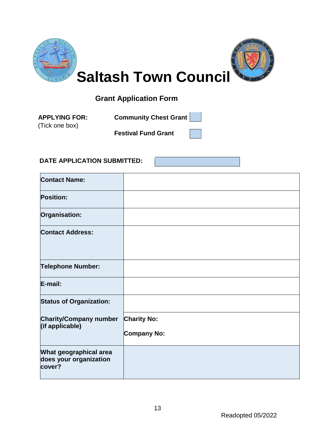

# **Grant Application Form**

(Tick one box)

<span id="page-12-0"></span>**APPLYING FOR: Community Chest Grant** 

**Festival Fund Grant**

### **DATE APPLICATION SUBMITTED:**

| <b>Contact Name:</b>                                       |                                          |
|------------------------------------------------------------|------------------------------------------|
| <b>Position:</b>                                           |                                          |
| Organisation:                                              |                                          |
| <b>Contact Address:</b>                                    |                                          |
| <b>Telephone Number:</b>                                   |                                          |
| E-mail:                                                    |                                          |
| <b>Status of Organization:</b>                             |                                          |
| <b>Charity/Company number</b><br>(if applicable)           | <b>Charity No:</b><br><b>Company No:</b> |
| What geographical area<br>does your organization<br>cover? |                                          |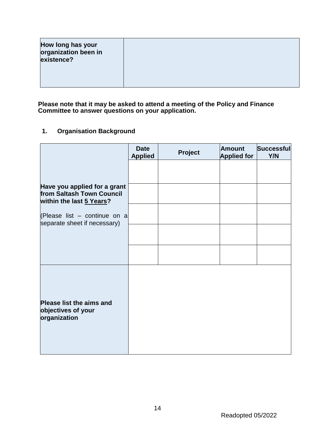| How long has your<br>organization been in<br>existence? |  |
|---------------------------------------------------------|--|
|                                                         |  |

**Please note that it may be asked to attend a meeting of the Policy and Finance Committee to answer questions on your application.**

# **1. Organisation Background**

|                                                                                       | <b>Date</b><br><b>Applied</b> | <b>Project</b> | <b>Amount</b><br><b>Applied for</b> | Successful<br>Y/N |
|---------------------------------------------------------------------------------------|-------------------------------|----------------|-------------------------------------|-------------------|
|                                                                                       |                               |                |                                     |                   |
| Have you applied for a grant<br>from Saltash Town Council<br>within the last 5 Years? |                               |                |                                     |                   |
| (Please list $-$ continue on a<br>separate sheet if necessary)                        |                               |                |                                     |                   |
|                                                                                       |                               |                |                                     |                   |
|                                                                                       |                               |                |                                     |                   |
| Please list the aims and<br>objectives of your<br>organization                        |                               |                |                                     |                   |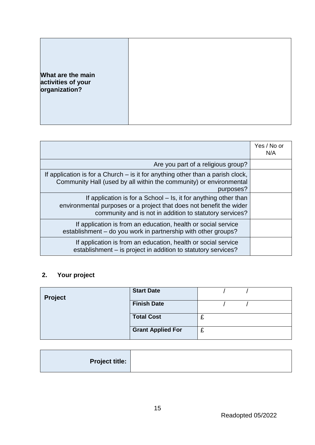| What are the main                   |  |
|-------------------------------------|--|
|                                     |  |
| activities of your<br>organization? |  |
|                                     |  |
|                                     |  |
|                                     |  |
|                                     |  |
|                                     |  |

|                                                                                                                                                                                                   | Yes / No or<br>N/A |
|---------------------------------------------------------------------------------------------------------------------------------------------------------------------------------------------------|--------------------|
| Are you part of a religious group?                                                                                                                                                                |                    |
| If application is for a Church $-$ is it for anything other than a parish clock,<br>Community Hall (used by all within the community) or environmental<br>purposes?                               |                    |
| If application is for a School – Is, it for anything other than<br>environmental purposes or a project that does not benefit the wider<br>community and is not in addition to statutory services? |                    |
| If application is from an education, health or social service<br>establishment – do you work in partnership with other groups?                                                                    |                    |
| If application is from an education, health or social service<br>establishment - is project in addition to statutory services?                                                                    |                    |

# **2. Your project**

| Project | <b>Start Date</b>        |   |  |
|---------|--------------------------|---|--|
|         | <b>Finish Date</b>       |   |  |
|         | <b>Total Cost</b>        | £ |  |
|         | <b>Grant Applied For</b> | £ |  |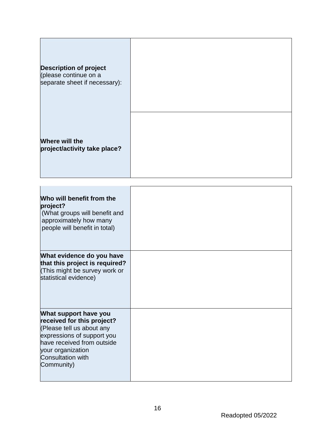| <b>Description of project</b><br>(please continue on a<br>separate sheet if necessary): |  |
|-----------------------------------------------------------------------------------------|--|
| Where will the<br>project/activity take place?                                          |  |

| Who will benefit from the<br>project?<br>(What groups will benefit and<br>approximately how many<br>people will benefit in total) |  |
|-----------------------------------------------------------------------------------------------------------------------------------|--|
| What evidence do you have                                                                                                         |  |
| that this project is required?<br>(This might be survey work or                                                                   |  |
| statistical evidence)                                                                                                             |  |
|                                                                                                                                   |  |
|                                                                                                                                   |  |
| What support have you<br>received for this project?                                                                               |  |
| (Please tell us about any                                                                                                         |  |
| expressions of support you<br>have received from outside                                                                          |  |
| your organization                                                                                                                 |  |
| <b>Consultation with</b>                                                                                                          |  |
| Community)                                                                                                                        |  |
|                                                                                                                                   |  |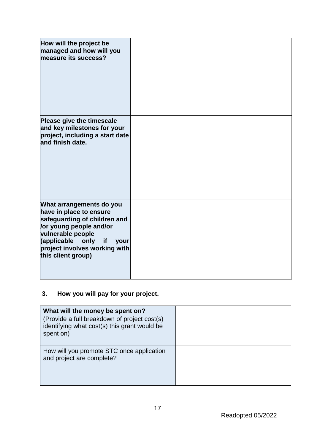| How will the project be<br>managed and how will you<br>measure its success? |  |
|-----------------------------------------------------------------------------|--|
| Please give the timescale<br>and key milestones for your                    |  |
| project, including a start date                                             |  |
| and finish date.                                                            |  |
|                                                                             |  |
|                                                                             |  |
|                                                                             |  |
|                                                                             |  |
| What arrangements do you<br>have in place to ensure                         |  |
| safeguarding of children and<br>or young people and/or                      |  |
| vulnerable people                                                           |  |
| (applicable only<br>if<br><b>your</b><br>project involves working with      |  |
| this client group)                                                          |  |
|                                                                             |  |
|                                                                             |  |

# **3. How you will pay for your project.**

| What will the money be spent on?<br>(Provide a full breakdown of project cost(s)<br>identifying what cost(s) this grant would be<br>spent on) |  |
|-----------------------------------------------------------------------------------------------------------------------------------------------|--|
| How will you promote STC once application<br>and project are complete?                                                                        |  |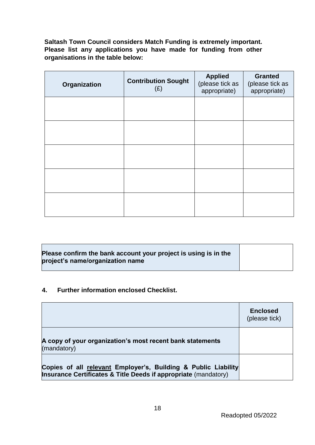**Saltash Town Council considers Match Funding is extremely important. Please list any applications you have made for funding from other organisations in the table below:** 

| Organization | <b>Contribution Sought</b><br>(E) | <b>Applied</b><br>(please tick as<br>appropriate) | <b>Granted</b><br>(please tick as<br>appropriate) |
|--------------|-----------------------------------|---------------------------------------------------|---------------------------------------------------|
|              |                                   |                                                   |                                                   |
|              |                                   |                                                   |                                                   |
|              |                                   |                                                   |                                                   |
|              |                                   |                                                   |                                                   |
|              |                                   |                                                   |                                                   |

### **Please confirm the bank account your project is using is in the project's name/organization name**

#### **4. Further information enclosed Checklist.**

|                                                                                                                                   | <b>Enclosed</b><br>(please tick) |
|-----------------------------------------------------------------------------------------------------------------------------------|----------------------------------|
| A copy of your organization's most recent bank statements<br>(mandatory)                                                          |                                  |
| Copies of all relevant Employer's, Building & Public Liability<br>Insurance Certificates & Title Deeds if appropriate (mandatory) |                                  |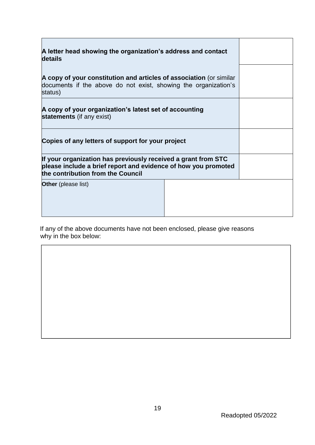| A letter head showing the organization's address and contact<br>details                                                                                              |  |  |
|----------------------------------------------------------------------------------------------------------------------------------------------------------------------|--|--|
| A copy of your constitution and articles of association (or similar<br>documents if the above do not exist, showing the organization's<br>status)                    |  |  |
| A copy of your organization's latest set of accounting<br>statements (if any exist)                                                                                  |  |  |
| Copies of any letters of support for your project                                                                                                                    |  |  |
| If your organization has previously received a grant from STC<br>please include a brief report and evidence of how you promoted<br>the contribution from the Council |  |  |
| <b>Other</b> (please list)                                                                                                                                           |  |  |

If any of the above documents have not been enclosed, please give reasons why in the box below: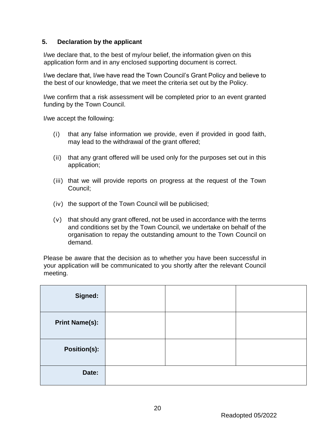#### **5. Declaration by the applicant**

I/we declare that, to the best of my/our belief, the information given on this application form and in any enclosed supporting document is correct.

I/we declare that, I/we have read the Town Council's Grant Policy and believe to the best of our knowledge, that we meet the criteria set out by the Policy.

I/we confirm that a risk assessment will be completed prior to an event granted funding by the Town Council.

I/we accept the following:

- (i) that any false information we provide, even if provided in good faith, may lead to the withdrawal of the grant offered;
- (ii) that any grant offered will be used only for the purposes set out in this application;
- (iii) that we will provide reports on progress at the request of the Town Council;
- (iv) the support of the Town Council will be publicised;
- (v) that should any grant offered, not be used in accordance with the terms and conditions set by the Town Council, we undertake on behalf of the organisation to repay the outstanding amount to the Town Council on demand.

Please be aware that the decision as to whether you have been successful in your application will be communicated to you shortly after the relevant Council meeting.

| Signed:               |  |  |
|-----------------------|--|--|
| <b>Print Name(s):</b> |  |  |
| <b>Position(s):</b>   |  |  |
| Date:                 |  |  |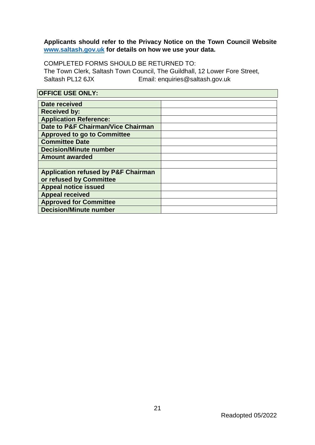### **Applicants should refer to the Privacy Notice on the Town Council Website [www.saltash.gov.uk](http://www.saltash.gov.uk/) for details on how we use your data.**

COMPLETED FORMS SHOULD BE RETURNED TO: The Town Clerk, Saltash Town Council, The Guildhall, 12 Lower Fore Street, Saltash PL12 6JX Email: enquiries@saltash.gov.uk

| <b>OFFICE USE ONLY:</b>                        |  |  |
|------------------------------------------------|--|--|
| Date received                                  |  |  |
| <b>Received by:</b>                            |  |  |
| <b>Application Reference:</b>                  |  |  |
| Date to P&F Chairman/Vice Chairman             |  |  |
| <b>Approved to go to Committee</b>             |  |  |
| <b>Committee Date</b>                          |  |  |
| <b>Decision/Minute number</b>                  |  |  |
| <b>Amount awarded</b>                          |  |  |
|                                                |  |  |
| <b>Application refused by P&amp;F Chairman</b> |  |  |
| or refused by Committee                        |  |  |
| <b>Appeal notice issued</b>                    |  |  |
| <b>Appeal received</b>                         |  |  |
| <b>Approved for Committee</b>                  |  |  |
| <b>Decision/Minute number</b>                  |  |  |

### Readopted 05/2022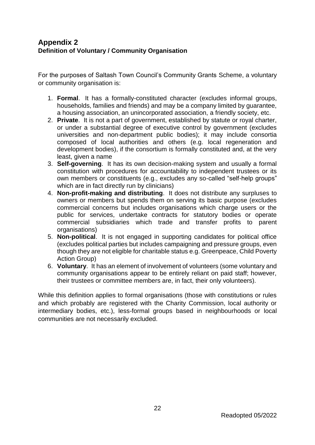# <span id="page-21-0"></span>**Appendix 2 Definition of Voluntary / Community Organisation**

For the purposes of Saltash Town Council's Community Grants Scheme, a voluntary or community organisation is:

- 1. **Formal**. It has a formally-constituted character (excludes informal groups, households, families and friends) and may be a company limited by guarantee, a housing association, an unincorporated association, a friendly society, etc.
- 2. **Private**. It is not a part of government, established by statute or royal charter, or under a substantial degree of executive control by government (excludes universities and non-department public bodies); it may include consortia composed of local authorities and others (e.g. local regeneration and development bodies), if the consortium is formally constituted and, at the very least, given a name
- 3. **Self-governing**. It has its own decision-making system and usually a formal constitution with procedures for accountability to independent trustees or its own members or constituents (e.g., excludes any so-called "self-help groups" which are in fact directly run by clinicians)
- 4. **Non-profit-making and distributing**. It does not distribute any surpluses to owners or members but spends them on serving its basic purpose (excludes commercial concerns but includes organisations which charge users or the public for services, undertake contracts for statutory bodies or operate commercial subsidiaries which trade and transfer profits to parent organisations)
- 5. **Non-political**. It is not engaged in supporting candidates for political office (excludes political parties but includes campaigning and pressure groups, even though they are not eligible for charitable status e.g. Greenpeace, Child Poverty Action Group)
- 6. **Voluntary**. It has an element of involvement of volunteers (some voluntary and community organisations appear to be entirely reliant on paid staff; however, their trustees or committee members are, in fact, their only volunteers).

While this definition applies to formal organisations (those with constitutions or rules and which probably are registered with the Charity Commission, local authority or intermediary bodies, etc.), less-formal groups based in neighbourhoods or local communities are not necessarily excluded.